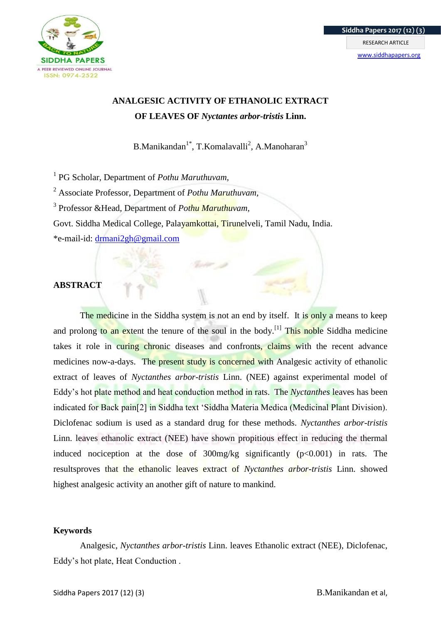

# **ANALGESIC ACTIVITY OF ETHANOLIC EXTRACT OF LEAVES OF** *Nyctantes arbor-tristis* **Linn.**

B.Manikandan<sup>1\*</sup>, T.Komalavalli<sup>2</sup>, A.Manoharan<sup>3</sup>

1 PG Scholar, Department of *Pothu Maruthuvam,* 

<sup>2</sup> Associate Professor, Department of *Pothu Maruthuvam,*

3 Professor &Head, Department of *Pothu Maruthuvam,* 

Govt. Siddha Medical College, Palayamkottai, Tirunelveli, Tamil Nadu, India.

\*e-mail-id: [drmani2gh@gmail.com](mailto:drmani2gh@gmail.com)

# **ABSTRACT**

The medicine in the Siddha system is not an end by itself. It is only a means to keep and prolong to an extent the tenure of the soul in the body.<sup>[1]</sup> This noble Siddha medicine takes it role in curing chronic diseases and confronts, claims with the recent advance medicines now-a-days. The present study is concerned with Analgesic activity of ethanolic extract of leaves of *Nyctanthes arbor-tristis* Linn. (NEE) against experimental model of Eddy"s hot plate method and heat conduction method in rats. The *Nyctanthes* leaves has been indicated for Back pain[2] in Siddha text "Siddha Materia Medica (Medicinal Plant Division). Diclofenac sodium is used as a standard drug for these methods. *Nyctanthes arbor-tristis* Linn. leaves ethanolic extract (NEE) have shown propitious effect in reducing the thermal induced nociception at the dose of  $300$ mg/kg significantly ( $p<0.001$ ) in rats. The resultsproves that the ethanolic leaves extract of *Nyctanthes arbor-tristis* Linn. showed highest analgesic activity an another gift of nature to mankind.

# **Keywords**

Analgesic, *Nyctanthes arbor-tristis* Linn. leaves Ethanolic extract (NEE), Diclofenac, Eddy"s hot plate, Heat Conduction .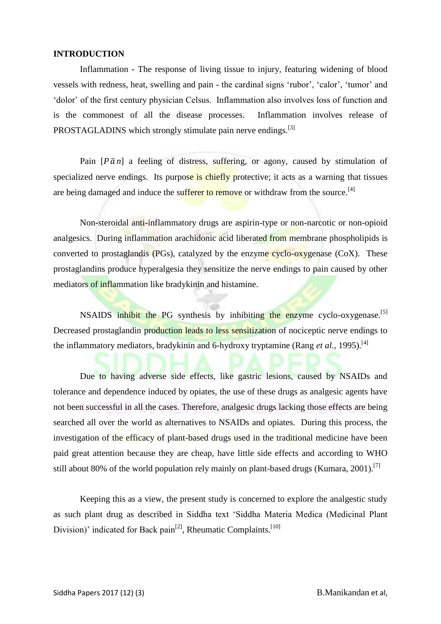## **INTRODUCTION**

Inflammation - The response of living tissue to injury, featuring widening of blood vessels with redness, heat, swelling and pain - the cardinal signs "rubor", "calor", "tumor" and "dolor" of the first century physician Celsus. Inflammation also involves loss of function and is the commonest of all the disease processes. Inflammation involves release of PROSTAGLADINS which strongly stimulate pain nerve endings.<sup>[3]</sup>

Pain  $\left[P\bar{\alpha}n\right]$  a feeling of distress, suffering, or agony, caused by stimulation of specialized nerve endings. Its purpose is chiefly protective; it acts as a warning that tissues are being damaged and induce the sufferer to remove or withdraw from the source.<sup>[4]</sup>

Non-steroidal anti-inflammatory drugs are aspirin-type or non-narcotic or non-opioid analgesics. During inflammation arachidonic acid liberated from membrane phospholipids is converted to prostaglandis  $(PGs)$ , catalyzed by the enzyme cyclo-oxygenase  $(CoX)$ . These prostaglandins produce hyperalgesia they sensitize the nerve endings to pain caused by other mediators of inflammation like bradykinin and histamine.

NSAIDS inhibit the PG synthesis by inhibiting the enzyme cyclo-oxygenase.<sup>[5]</sup> Decreased prostaglandin production leads to less sensitization of nociceptic nerve endings to the inflammatory mediators, bradykinin and 6-hydroxy tryptamine (Rang *et al.*, 1995).<sup>[4]</sup>

Due to having adverse side effects, like gastric lesions, caused by NSAIDs and tolerance and dependence induced by opiates, the use of these drugs as analgesic agents have not been successful in all the cases. Therefore, analgesic drugs lacking those effects are being searched all over the world as alternatives to NSAIDs and opiates. During this process, the investigation of the efficacy of plant-based drugs used in the traditional medicine have been paid great attention because they are cheap, have little side effects and according to WHO still about 80% of the world population rely mainly on plant-based drugs (Kumara, 2001).<sup>[7]</sup>

Keeping this as a view, the present study is concerned to explore the analgestic study as such plant drug as described in Siddha text "Siddha Materia Medica (Medicinal Plant Division)' indicated for Back pain<sup>[2]</sup>, Rheumatic Complaints.<sup>[10]</sup>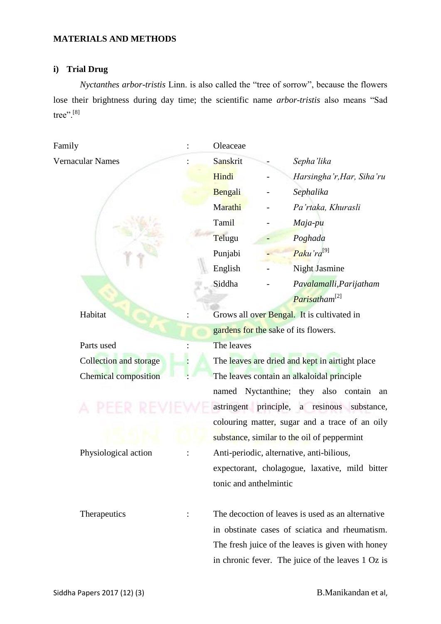# **MATERIALS AND METHODS**

# **i) Trial Drug**

*Nyctanthes arbor-tristis* Linn. is also called the "tree of sorrow", because the flowers lose their brightness during day time; the scientific name *arbor-tristis* also means "Sad tree".<sup>[8]</sup>

| Family                      |  | Oleaceae                                                                                      |  |                                                   |  |  |
|-----------------------------|--|-----------------------------------------------------------------------------------------------|--|---------------------------------------------------|--|--|
| Vernacular Names            |  | Sanskrit                                                                                      |  | Sepha'lika                                        |  |  |
|                             |  | Hindi                                                                                         |  | Harsingha'r, Har, Siha'ru                         |  |  |
|                             |  | Bengali                                                                                       |  | Sephalika                                         |  |  |
|                             |  | Marathi                                                                                       |  | Pa'rtaka, Khurasli                                |  |  |
|                             |  | Tamil                                                                                         |  | Maja-pu                                           |  |  |
|                             |  | Telugu                                                                                        |  | Poghada                                           |  |  |
|                             |  | Punjabi                                                                                       |  | Paku'ra <sup>[9]</sup>                            |  |  |
|                             |  | English                                                                                       |  | <b>Night Jasmine</b>                              |  |  |
|                             |  | Siddha                                                                                        |  | Pavalamalli, Parijatham                           |  |  |
|                             |  |                                                                                               |  | Parisatham <sup>[2]</sup>                         |  |  |
| Habitat                     |  |                                                                                               |  | Grows all over Bengal. It is cultivated in        |  |  |
|                             |  | gardens for the sake of its flowers.                                                          |  |                                                   |  |  |
| Parts used                  |  | The leaves                                                                                    |  |                                                   |  |  |
| Collection and storage      |  | The leaves are dried and kept in airtight place                                               |  |                                                   |  |  |
| <b>Chemical composition</b> |  | The leaves contain an alkaloidal principle                                                    |  |                                                   |  |  |
|                             |  |                                                                                               |  | named Nyctanthine; they also contain<br>an        |  |  |
|                             |  | astringent principle, a resinous substance,<br>colouring matter, sugar and a trace of an oily |  |                                                   |  |  |
|                             |  |                                                                                               |  |                                                   |  |  |
|                             |  | substance, similar to the oil of peppermint                                                   |  |                                                   |  |  |
| Physiological action        |  | Anti-periodic, alternative, anti-bilious,                                                     |  |                                                   |  |  |
|                             |  |                                                                                               |  | expectorant, cholagogue, laxative, mild bitter    |  |  |
|                             |  | tonic and anthelmintic                                                                        |  |                                                   |  |  |
|                             |  |                                                                                               |  |                                                   |  |  |
| Therapeutics                |  | The decoction of leaves is used as an alternative                                             |  |                                                   |  |  |
|                             |  | in obstinate cases of sciatica and rheumatism.                                                |  |                                                   |  |  |
|                             |  | The fresh juice of the leaves is given with honey                                             |  |                                                   |  |  |
|                             |  |                                                                                               |  | in chronic fever. The juice of the leaves 1 Oz is |  |  |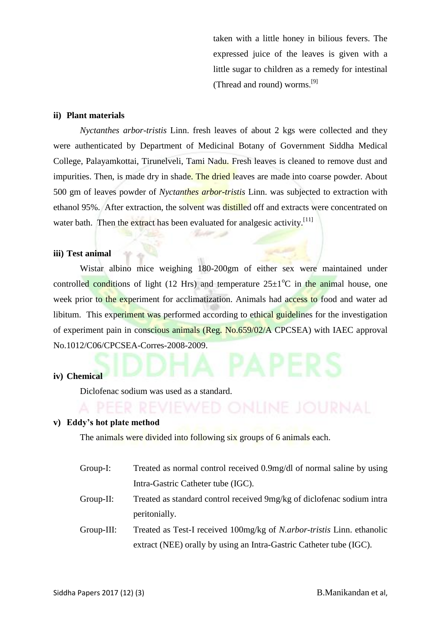taken with a little honey in bilious fevers. The expressed juice of the leaves is given with a little sugar to children as a remedy for intestinal (Thread and round) worms.[9]

#### **ii) Plant materials**

*Nyctanthes arbor-tristis* Linn. fresh leaves of about 2 kgs were collected and they were authenticated by Department of Medicinal Botany of Government Siddha Medical College, Palayamkottai, Tirunelveli, Tami Nadu. Fresh leaves is cleaned to remove dust and impurities. Then, is made dry in shade. The dried leaves are made into coarse powder. About 500 gm of leaves powder of *Nyctanthes arbor-tristis* Linn. was subjected to extraction with ethanol 95%. After extraction, the solvent was distilled off and extracts were concentrated on water bath. Then the extract has been evaluated for analgesic activity.<sup>[11]</sup>

#### **iii) Test animal**

Wistar albino mice weighing 180-200gm of either sex were maintained under controlled conditions of light (12 Hrs) and temperature  $25\pm1^{\circ}$ C in the animal house, one week prior to the experiment for acclimatization. Animals had access to food and water ad libitum. This experiment was performed according to ethical guidelines for the investigation of experiment pain in conscious animals (Reg. No.659/02/A CPCSEA) with IAEC approval No.1012/C06/CPCSEA-Corres-2008-2009.

#### **iv) Chemical**

Diclofenac sodium was used as a standard.

#### **v) Eddy's hot plate method**

The animals were divided into following six groups of 6 animals each.

- Group-I: Treated as normal control received 0.9mg/dl of normal saline by using Intra-Gastric Catheter tube (IGC).
- Group-II: Treated as standard control received 9mg/kg of diclofenac sodium intra peritonially.
- Group-III: Treated as Test-I received 100mg/kg of *N.arbor-tristis* Linn. ethanolic extract (NEE) orally by using an Intra-Gastric Catheter tube (IGC).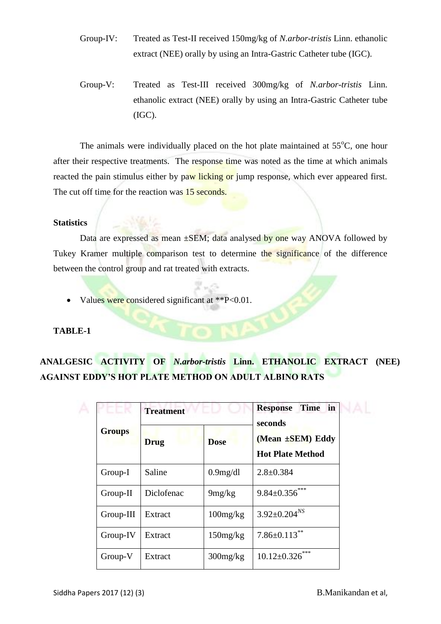- Group-IV: Treated as Test-II received 150mg/kg of *N.arbor-tristis* Linn. ethanolic extract (NEE) orally by using an Intra-Gastric Catheter tube (IGC).
- Group-V: Treated as Test-III received 300mg/kg of *N.arbor-tristis* Linn. ethanolic extract (NEE) orally by using an Intra-Gastric Catheter tube (IGC).

The animals were individually placed on the hot plate maintained at  $55^{\circ}$ C, one hour after their respective treatments. The response time was noted as the time at which animals reacted the pain stimulus either by paw licking or jump response, which ever appeared first. The cut off time for the reaction was 15 seconds.

# **Statistics**

Data are expressed as mean  $\pm$ SEM; data analysed by one way ANOVA followed by Tukey Kramer multiple comparison test to determine the significance of the difference between the control group and rat treated with extracts.

• Values were considered significant at \*\*P<0.01.

# **TABLE-1**

# **ANALGESIC ACTIVITY OF** *N.arbor-tristis* **Linn. ETHANOLIC EXTRACT (NEE) AGAINST EDDY'S HOT PLATE METHOD ON ADULT ALBINO RATS**

| <b>Groups</b> | <b>Treatment</b> |                | Time in<br><b>Response</b><br>seconds<br>(Mean ±SEM) Eddy<br><b>Hot Plate Method</b> |  |
|---------------|------------------|----------------|--------------------------------------------------------------------------------------|--|
|               | <b>Drug</b>      | <b>Dose</b>    |                                                                                      |  |
| Group-I       | Saline           | 0.9mg/dl       | $2.8 \pm 0.384$                                                                      |  |
| Group-II      | Diclofenac       | 9mg/kg         | $9.84 \pm 0.356$ ***                                                                 |  |
| Group-III     | Extract          | $100$ mg/kg    | $3.92 \pm 0.204^{NS}$                                                                |  |
| Group-IV      | Extract          | $150$ mg/kg    | $7.86 \pm 0.113$ **                                                                  |  |
| Group-V       | Extract          | $300$ mg/ $kg$ | $10.12 \pm 0.326$ ***                                                                |  |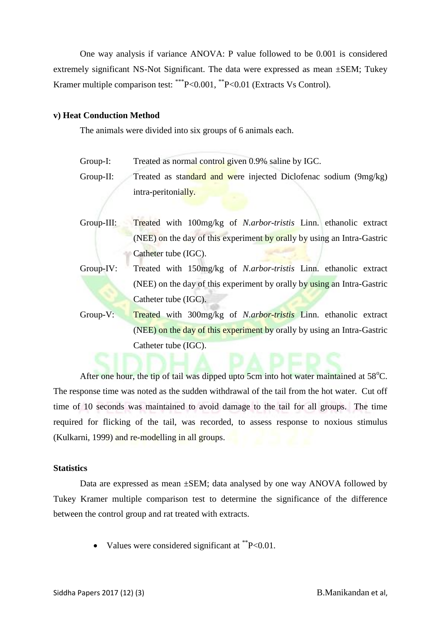One way analysis if variance ANOVA: P value followed to be 0.001 is considered extremely significant NS-Not Significant. The data were expressed as mean ±SEM; Tukey Kramer multiple comparison test: \*\*\* P<0.001, \*\* P<0.01 (Extracts Vs Control).

## **v) Heat Conduction Method**

The animals were divided into six groups of 6 animals each.

Group-I: Treated as normal control given 0.9% saline by IGC.

Group-II: Treated as standard and were injected Diclofenac sodium (9mg/kg) intra-peritonially.

- Group-III: Treated with 100mg/kg of *N.arbor-tristis* Linn. ethanolic extract (NEE) on the day of this experiment by orally by using an Intra-Gastric Catheter tube (IGC).
- Group-IV: Treated with 150mg/kg of *N.arbor-tristis* Linn. ethanolic extract (NEE) on the day of this experiment by orally by using an Intra-Gastric Catheter tube (IGC).
- Group-V: Treated with 300mg/kg of *N.arbor-tristis* Linn. ethanolic extract (NEE) on the day of this experiment by orally by using an Intra-Gastric Catheter tube (IGC).

After one hour, the tip of tail was dipped upto 5cm into hot water maintained at  $58^{\circ}$ C. The response time was noted as the sudden withdrawal of the tail from the hot water. Cut off time of 10 seconds was maintained to avoid damage to the tail for all groups. The time required for flicking of the tail, was recorded, to assess response to noxious stimulus (Kulkarni, 1999) and re-modelling in all groups.

## **Statistics**

Data are expressed as mean ±SEM; data analysed by one way ANOVA followed by Tukey Kramer multiple comparison test to determine the significance of the difference between the control group and rat treated with extracts.

• Values were considered significant at  $P<0.01$ .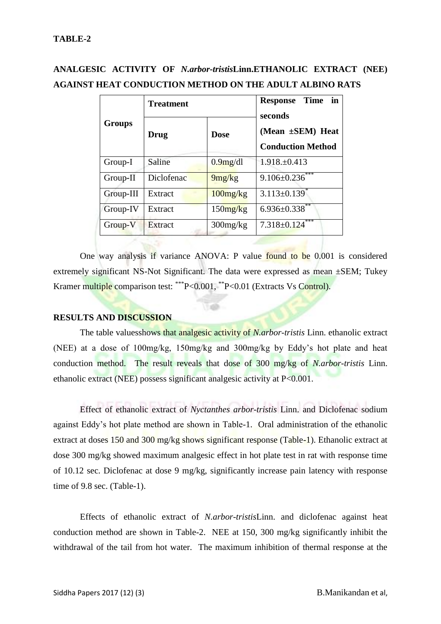# **ANALGESIC ACTIVITY OF** *N.arbor-tristis***Linn.ETHANOLIC EXTRACT (NEE) AGAINST HEAT CONDUCTION METHOD ON THE ADULT ALBINO RATS**

| <b>Groups</b> | Treatment  |                | in<br>Time<br><b>Response</b><br>seconds<br>(Mean ±SEM) Heat<br><b>Conduction Method</b> |  |
|---------------|------------|----------------|------------------------------------------------------------------------------------------|--|
|               | Drug       | <b>Dose</b>    |                                                                                          |  |
| Group-I       | Saline     | 0.9mg/dl       | $1.918 \pm 0.413$                                                                        |  |
| $Group-II$    | Diclofenac | 9mg/kg         | $9.106 \pm 0.236$ ***                                                                    |  |
| Group-III     | Extract    | $100$ mg/ $kg$ | $3.113 \pm 0.139$ <sup>*</sup>                                                           |  |
| Group-IV      | Extract    | $150$ mg/kg    | $6.936 \pm 0.338$ **                                                                     |  |
| Group-V       | Extract    | $300$ mg/ $kg$ | ***<br>$7.318 \pm 0.124$                                                                 |  |

One way analysis if variance ANOVA: P value found to be 0.001 is considered extremely significant NS-Not Significant. The data were expressed as mean ±SEM; Tukey Kramer multiple comparison test: \*\*\* P<0.001, \*\* P<0.01 (Extracts Vs Control).

 $1 - 0.05$ 

## **RESULTS AND DISCUSSION**

The table valuesshows that analgesic activity of *N.arbor-tristis* Linn. ethanolic extract (NEE) at a dose of 100mg/kg, 150mg/kg and 300mg/kg by Eddy"s hot plate and heat conduction method. The result reveals that dose of 300 mg/kg of *N.arbor-tristis* Linn. ethanolic extract (NEE) possess significant analgesic activity at P<0.001.

Effect of ethanolic extract of *Nyctanthes arbor-tristis* Linn. and Diclofenac sodium against Eddy"s hot plate method are shown in Table-1. Oral administration of the ethanolic extract at doses 150 and 300 mg/kg shows significant response (Table-1). Ethanolic extract at dose 300 mg/kg showed maximum analgesic effect in hot plate test in rat with response time of 10.12 sec. Diclofenac at dose 9 mg/kg, significantly increase pain latency with response time of 9.8 sec. (Table-1).

Effects of ethanolic extract of *N.arbor-tristis*Linn. and diclofenac against heat conduction method are shown in Table-2. NEE at 150, 300 mg/kg significantly inhibit the withdrawal of the tail from hot water. The maximum inhibition of thermal response at the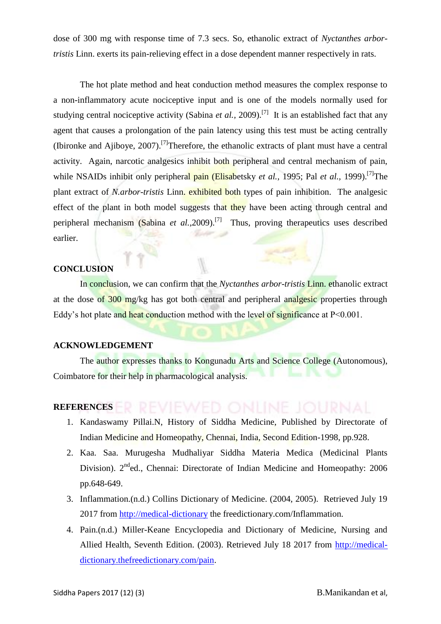dose of 300 mg with response time of 7.3 secs. So, ethanolic extract of *Nyctanthes arbortristis* Linn. exerts its pain-relieving effect in a dose dependent manner respectively in rats.

The hot plate method and heat conduction method measures the complex response to a non-inflammatory acute nociceptive input and is one of the models normally used for studying central nociceptive activity (Sabina *et al.*, 2009).<sup>[7]</sup> It is an established fact that any agent that causes a prolongation of the pain latency using this test must be acting centrally (Ibironke and Ajiboye, 2007).[7]Therefore, the ethanolic extracts of plant must have a central activity. Again, narcotic analgesics inhibit both peripheral and central mechanism of pain, while NSAIDs inhibit only peripheral pain (Elisabetsky *et al.,* 1995; Pal *et al.,* 1999).<sup>[7]</sup>The plant extract of *N.arbor-tristis* Linn. exhibited both types of pain inhibition. The analgesic effect of the plant in both model suggests that they have been acting through central and peripheral mechanism (Sabina *et al.*, 2009).<sup>[7]</sup> Thus, proving therapeutics uses described earlier.

#### **CONCLUSION**

In conclusion, we can confirm that the *Nyctanthes arbor-tristis* Linn. ethanolic extract at the dose of 300 mg/kg has got both central and peripheral analgesic properties through Eddy's hot plate and heat conduction method with the level of significance at  $P < 0.001$ .

# **ACKNOWLEDGEMENT**

The author expresses thanks to Kongunadu Arts and Science College (Autonomous), Coimbatore for their help in pharmacological analysis.

## **REFERENCES**

- 1. Kandaswamy Pillai.N, History of Siddha Medicine, Published by Directorate of Indian Medicine and Homeopathy, Chennai, India, Second Edition-1998, pp.928.
- 2. Kaa. Saa. Murugesha Mudhaliyar Siddha Materia Medica (Medicinal Plants Division). 2<sup>nd</sup>ed., Chennai: Directorate of Indian Medicine and Homeopathy: 2006 pp.648-649.
- 3. Inflammation.(n.d.) Collins Dictionary of Medicine. (2004, 2005). Retrieved July 19 2017 from [http://medical-dictionary](http://medical-dictionary/) the freedictionary.com/Inflammation.
- 4. Pain.(n.d.) Miller-Keane Encyclopedia and Dictionary of Medicine, Nursing and Allied Health, Seventh Edition. (2003). Retrieved July 18 2017 from [http://medical](http://medical-dictionary.thefreedictionary.com/pain)[dictionary.thefreedictionary.com/pain.](http://medical-dictionary.thefreedictionary.com/pain)